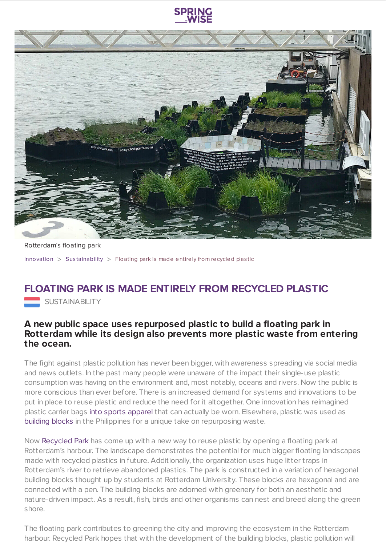



Rotterdam's floating park

[Innovation](https://www.springwise.com/search?type=innovation)  $>$  Sus[tainability](https://www.springwise.com/search?type=innovation§or=sustainability)  $>$  Floating park is made entirely from recycled plastic

## **FLOATING PARK IS MADE ENTIRELY FROM RECYCLED PLASTIC**

SUSTAINABILITY

## **A new public space uses repurposed plastic to build a floating park in Rotterdam while its design also prevents more plastic waste from entering the ocean.**

The fight against plastic pollution has never been bigger, with awareness spreading via social media and news outlets. In the past many people were unaware of the impact their single-use plastic consumption was having on the environment and, most notably, oceans and rivers. Now the public is more conscious than ever before. There is an increased demand for systems and innovations to be put in place to reuse plastic and reduce the need for it altogether. One innovation has reimagined plastic carrier bags into sports [apparel](https://www.springwise.com/graduate-creates-apparel-plastic-shopping-bags/) that can actually be worn. Elsewhere, plastic was used as [building](https://www.springwise.com/repurposed-plastic-waste-creates-reusable-building-bricks/) blocks in the Philippines for a unique take on repurposing waste.

Now [Recycled](http://www.recycledpark.com/) Park has come up with a new way to reuse plastic by opening a floating park at Rotterdam's harbour. The landscape demonstrates the potential for much bigger floating landscapes made with recycled plastics in future. Additionally, the organization uses huge litter traps in Rotterdam's river to retrieve abandoned plastics. The park is constructed in a variation of hexagonal building blocks thought up by students at Rotterdam University. These blocks are hexagonal and are connected with a pen. The building blocks are adorned with greenery for both an aesthetic and nature-driven impact. As a result, fish, birds and other organisms can nest and breed along the green shore.

The floating park contributes to greening the city and improving the ecosystem in the Rotterdam harbour. Recycled Park hopes that with the development of the building blocks, plastic pollution will